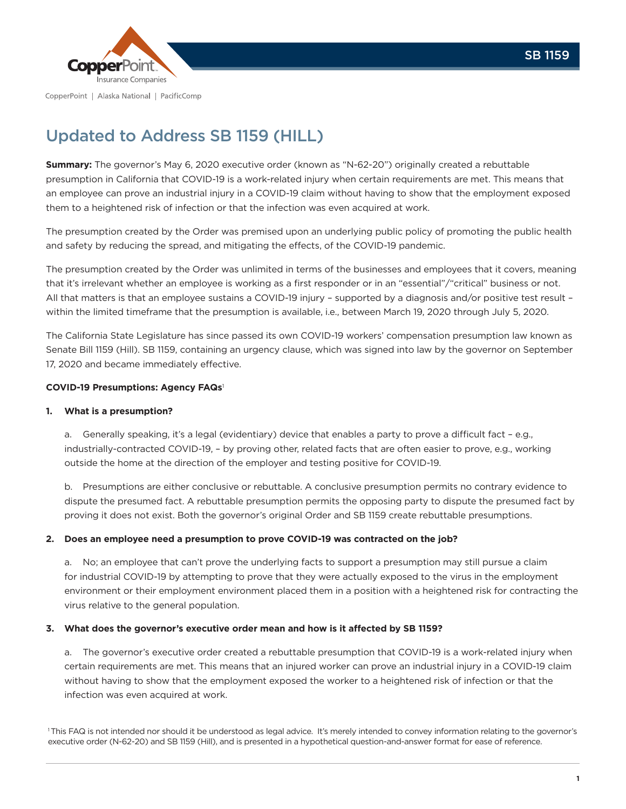

# Updated to Address SB 1159 (HILL)

**Summary:** The governor's May 6, 2020 executive order (known as "N-62-20") originally created a rebuttable presumption in California that COVID-19 is a work-related injury when certain requirements are met. This means that an employee can prove an industrial injury in a COVID-19 claim without having to show that the employment exposed them to a heightened risk of infection or that the infection was even acquired at work.

The presumption created by the Order was premised upon an underlying public policy of promoting the public health and safety by reducing the spread, and mitigating the effects, of the COVID-19 pandemic.

The presumption created by the Order was unlimited in terms of the businesses and employees that it covers, meaning that it's irrelevant whether an employee is working as a first responder or in an "essential"/"critical" business or not. All that matters is that an employee sustains a COVID-19 injury – supported by a diagnosis and/or positive test result – within the limited timeframe that the presumption is available, i.e., between March 19, 2020 through July 5, 2020.

The California State Legislature has since passed its own COVID-19 workers' compensation presumption law known as Senate Bill 1159 (Hill). SB 1159, containing an urgency clause, which was signed into law by the governor on September 17, 2020 and became immediately effective.

# **COVID-19 Presumptions: Agency FAQs**<sup>1</sup>

## **1. What is a presumption?**

a. Generally speaking, it's a legal (evidentiary) device that enables a party to prove a difficult fact – e.g., industrially-contracted COVID-19, – by proving other, related facts that are often easier to prove, e.g., working outside the home at the direction of the employer and testing positive for COVID-19.

b. Presumptions are either conclusive or rebuttable. A conclusive presumption permits no contrary evidence to dispute the presumed fact. A rebuttable presumption permits the opposing party to dispute the presumed fact by proving it does not exist. Both the governor's original Order and SB 1159 create rebuttable presumptions.

## **2. Does an employee need a presumption to prove COVID-19 was contracted on the job?**

a. No; an employee that can't prove the underlying facts to support a presumption may still pursue a claim for industrial COVID-19 by attempting to prove that they were actually exposed to the virus in the employment environment or their employment environment placed them in a position with a heightened risk for contracting the virus relative to the general population.

## **3. What does the governor's executive order mean and how is it affected by SB 1159?**

a. The governor's executive order created a rebuttable presumption that COVID-19 is a work-related injury when certain requirements are met. This means that an injured worker can prove an industrial injury in a COVID-19 claim without having to show that the employment exposed the worker to a heightened risk of infection or that the infection was even acquired at work.

<sup>1</sup>This FAQ is not intended nor should it be understood as legal advice. It's merely intended to convey information relating to the governor's executive order (N-62-20) and SB 1159 (Hill), and is presented in a hypothetical question-and-answer format for ease of reference.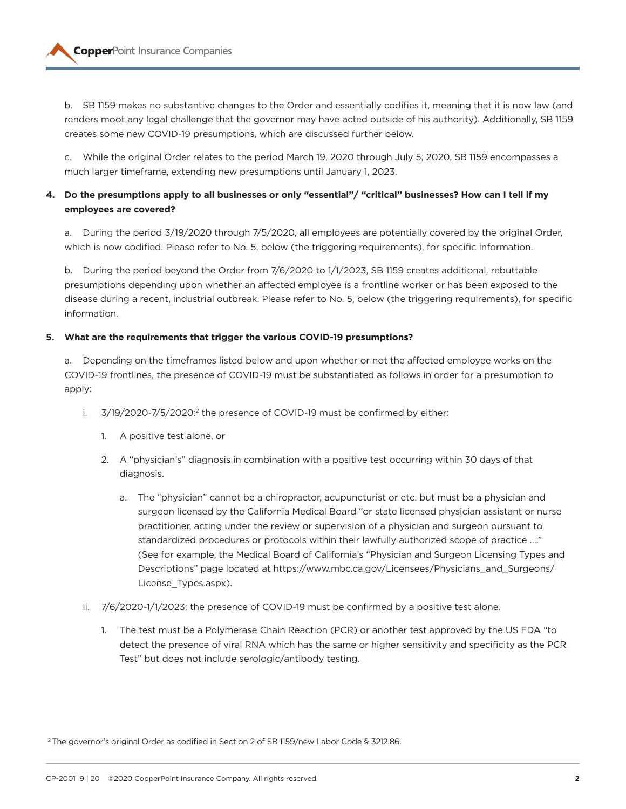

b. SB 1159 makes no substantive changes to the Order and essentially codifies it, meaning that it is now law (and renders moot any legal challenge that the governor may have acted outside of his authority). Additionally, SB 1159 creates some new COVID-19 presumptions, which are discussed further below.

c. While the original Order relates to the period March 19, 2020 through July 5, 2020, SB 1159 encompasses a much larger timeframe, extending new presumptions until January 1, 2023.

# **4. Do the presumptions apply to all businesses or only "essential"/ "critical" businesses? How can I tell if my employees are covered?**

a. During the period 3/19/2020 through 7/5/2020, all employees are potentially covered by the original Order, which is now codified. Please refer to No. 5, below (the triggering requirements), for specific information.

b. During the period beyond the Order from 7/6/2020 to 1/1/2023, SB 1159 creates additional, rebuttable presumptions depending upon whether an affected employee is a frontline worker or has been exposed to the disease during a recent, industrial outbreak. Please refer to No. 5, below (the triggering requirements), for specific information.

### **5. What are the requirements that trigger the various COVID-19 presumptions?**

a. Depending on the timeframes listed below and upon whether or not the affected employee works on the COVID-19 frontlines, the presence of COVID-19 must be substantiated as follows in order for a presumption to apply:

- i. 3/19/2020-7/5/2020:<sup>2</sup> the presence of COVID-19 must be confirmed by either:
	- 1. A positive test alone, or
	- 2. A "physician's" diagnosis in combination with a positive test occurring within 30 days of that diagnosis.
		- a. The "physician" cannot be a chiropractor, acupuncturist or etc. but must be a physician and surgeon licensed by the California Medical Board "or state licensed physician assistant or nurse practitioner, acting under the review or supervision of a physician and surgeon pursuant to standardized procedures or protocols within their lawfully authorized scope of practice …." (See for example, the Medical Board of California's "Physician and Surgeon Licensing Types and Descriptions" page located at https://www.mbc.ca.gov/Licensees/Physicians\_and\_Surgeons/ License\_Types.aspx).
- ii. 7/6/2020-1/1/2023: the presence of COVID-19 must be confirmed by a positive test alone.
	- 1. The test must be a Polymerase Chain Reaction (PCR) or another test approved by the US FDA "to detect the presence of viral RNA which has the same or higher sensitivity and specificity as the PCR Test" but does not include serologic/antibody testing.

<sup>2</sup> The governor's original Order as codified in Section 2 of SB 1159/new Labor Code § 3212.86.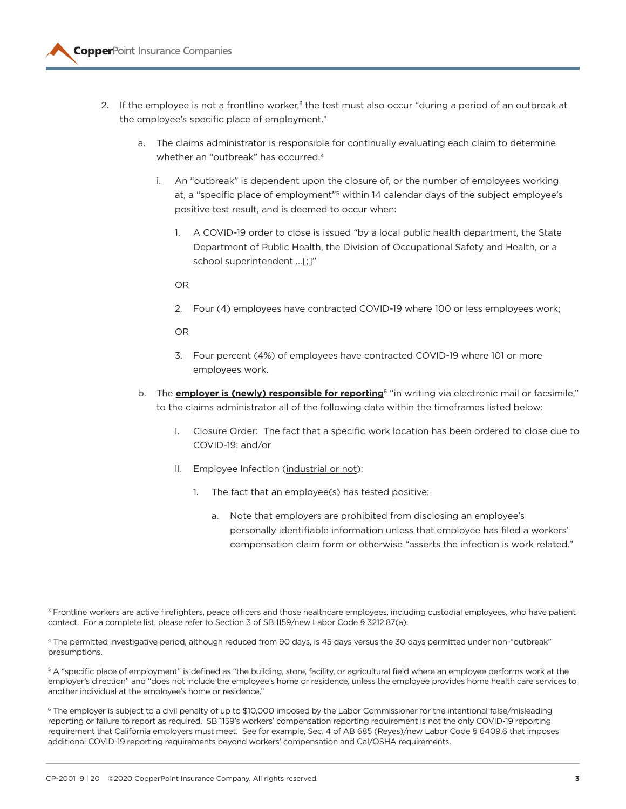

- 2. If the employee is not a frontline worker,<sup>3</sup> the test must also occur "during a period of an outbreak at the employee's specific place of employment."
	- a. The claims administrator is responsible for continually evaluating each claim to determine whether an "outbreak" has occurred.<sup>4</sup>
		- i. An "outbreak" is dependent upon the closure of, or the number of employees working at, a "specific place of employment"5 within 14 calendar days of the subject employee's positive test result, and is deemed to occur when:
			- 1. A COVID-19 order to close is issued "by a local public health department, the State Department of Public Health, the Division of Occupational Safety and Health, or a school superintendent …[;]"
			- OR
			- 2. Four (4) employees have contracted COVID-19 where 100 or less employees work;

OR

- 3. Four percent (4%) of employees have contracted COVID-19 where 101 or more employees work.
- b. The **employer is (newly) responsible for reporting**6 "in writing via electronic mail or facsimile," to the claims administrator all of the following data within the timeframes listed below:
	- I. Closure Order: The fact that a specific work location has been ordered to close due to COVID-19; and/or
	- II. Employee Infection (industrial or not):
		- 1. The fact that an employee(s) has tested positive;
			- a. Note that employers are prohibited from disclosing an employee's personally identifiable information unless that employee has filed a workers' compensation claim form or otherwise "asserts the infection is work related."

<sup>3</sup> Frontline workers are active firefighters, peace officers and those healthcare employees, including custodial employees, who have patient contact. For a complete list, please refer to Section 3 of SB 1159/new Labor Code § 3212.87(a).

4 The permitted investigative period, although reduced from 90 days, is 45 days versus the 30 days permitted under non-"outbreak" presumptions.

<sup>5</sup> A "specific place of employment" is defined as "the building, store, facility, or agricultural field where an employee performs work at the employer's direction" and "does not include the employee's home or residence, unless the employee provides home health care services to another individual at the employee's home or residence."

<sup>6</sup> The employer is subject to a civil penalty of up to \$10,000 imposed by the Labor Commissioner for the intentional false/misleading reporting or failure to report as required. SB 1159's workers' compensation reporting requirement is not the only COVID-19 reporting requirement that California employers must meet. See for example, Sec. 4 of AB 685 (Reyes)/new Labor Code § 6409.6 that imposes additional COVID-19 reporting requirements beyond workers' compensation and Cal/OSHA requirements.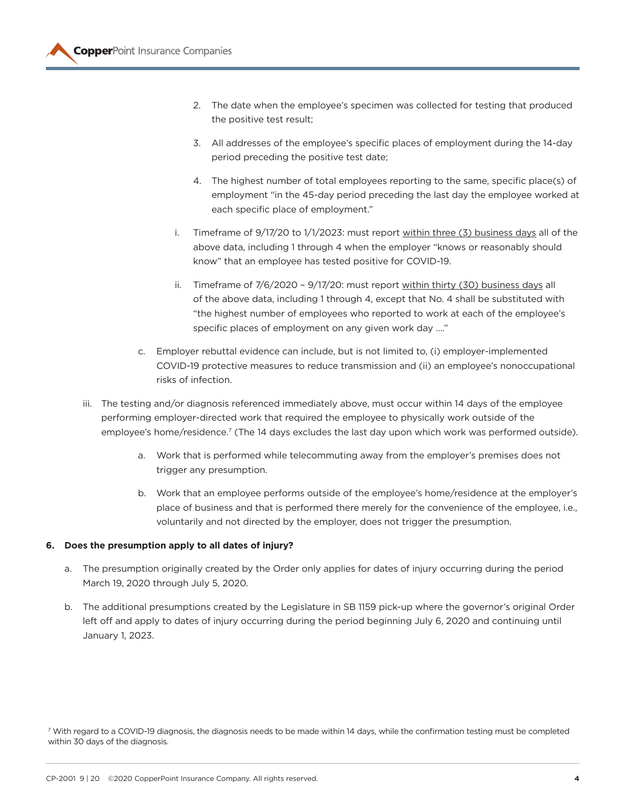- 2. The date when the employee's specimen was collected for testing that produced the positive test result;
- 3. All addresses of the employee's specific places of employment during the 14-day period preceding the positive test date;
- 4. The highest number of total employees reporting to the same, specific place(s) of employment "in the 45-day period preceding the last day the employee worked at each specific place of employment."
- i. Timeframe of 9/17/20 to 1/1/2023: must report within three (3) business days all of the above data, including 1 through 4 when the employer "knows or reasonably should know" that an employee has tested positive for COVID-19.
- ii. Timeframe of 7/6/2020 9/17/20: must report within thirty (30) business days all of the above data, including 1 through 4, except that No. 4 shall be substituted with "the highest number of employees who reported to work at each of the employee's specific places of employment on any given work day …."
- c. Employer rebuttal evidence can include, but is not limited to, (i) employer-implemented COVID-19 protective measures to reduce transmission and (ii) an employee's nonoccupational risks of infection.
- iii. The testing and/or diagnosis referenced immediately above, must occur within 14 days of the employee performing employer-directed work that required the employee to physically work outside of the employee's home/residence.<sup>7</sup> (The 14 days excludes the last day upon which work was performed outside).
	- a. Work that is performed while telecommuting away from the employer's premises does not trigger any presumption.
	- b. Work that an employee performs outside of the employee's home/residence at the employer's place of business and that is performed there merely for the convenience of the employee, i.e., voluntarily and not directed by the employer, does not trigger the presumption.

# **6. Does the presumption apply to all dates of injury?**

- a. The presumption originally created by the Order only applies for dates of injury occurring during the period March 19, 2020 through July 5, 2020.
- b. The additional presumptions created by the Legislature in SB 1159 pick-up where the governor's original Order left off and apply to dates of injury occurring during the period beginning July 6, 2020 and continuing until January 1, 2023.

7 With regard to a COVID-19 diagnosis, the diagnosis needs to be made within 14 days, while the confirmation testing must be completed within 30 days of the diagnosis.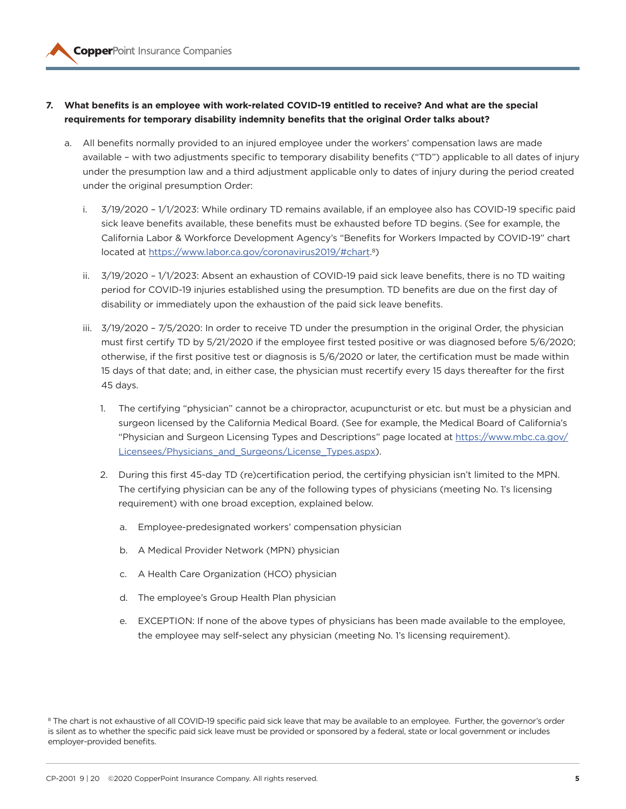- **7. What benefits is an employee with work-related COVID-19 entitled to receive? And what are the special requirements for temporary disability indemnity benefits that the original Order talks about?**
	- a. All benefits normally provided to an injured employee under the workers' compensation laws are made available – with two adjustments specific to temporary disability benefits ("TD") applicable to all dates of injury under the presumption law and a third adjustment applicable only to dates of injury during the period created under the original presumption Order:
		- i. 3/19/2020 1/1/2023: While ordinary TD remains available, if an employee also has COVID-19 specific paid sick leave benefits available, these benefits must be exhausted before TD begins. (See for example, the California Labor & Workforce Development Agency's "Benefits for Workers Impacted by COVID-19" chart located at https://www.labor.ca.gov/coronavirus2019/#chart.8)
		- ii. 3/19/2020 1/1/2023: Absent an exhaustion of COVID-19 paid sick leave benefits, there is no TD waiting period for COVID-19 injuries established using the presumption. TD benefits are due on the first day of disability or immediately upon the exhaustion of the paid sick leave benefits.
		- iii. 3/19/2020 7/5/2020: In order to receive TD under the presumption in the original Order, the physician must first certify TD by 5/21/2020 if the employee first tested positive or was diagnosed before 5/6/2020; otherwise, if the first positive test or diagnosis is 5/6/2020 or later, the certification must be made within 15 days of that date; and, in either case, the physician must recertify every 15 days thereafter for the first 45 days.
			- 1. The certifying "physician" cannot be a chiropractor, acupuncturist or etc. but must be a physician and surgeon licensed by the California Medical Board. (See for example, the Medical Board of California's "Physician and Surgeon Licensing Types and Descriptions" page located at https://www.mbc.ca.gov/ Licensees/Physicians and Surgeons/License Types.aspx).
			- 2. During this first 45-day TD (re)certification period, the certifying physician isn't limited to the MPN. The certifying physician can be any of the following types of physicians (meeting No. 1's licensing requirement) with one broad exception, explained below.
				- a. Employee-predesignated workers' compensation physician
				- b. A Medical Provider Network (MPN) physician
				- c. A Health Care Organization (HCO) physician
				- d. The employee's Group Health Plan physician
				- e. EXCEPTION: If none of the above types of physicians has been made available to the employee, the employee may self-select any physician (meeting No. 1's licensing requirement).

<sup>8</sup> The chart is not exhaustive of all COVID-19 specific paid sick leave that may be available to an employee. Further, the governor's order is silent as to whether the specific paid sick leave must be provided or sponsored by a federal, state or local government or includes employer-provided benefits.